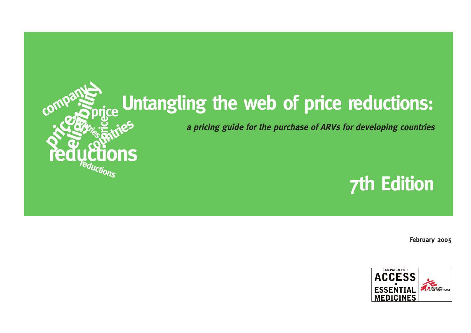

# **Untangling the web of price reductions:**

**a pricing guide for the purchase of ARVs for developing countries**

## **7th Edition**

**February 2005**

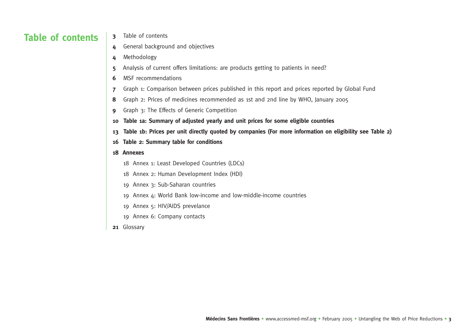## **Table of contents**

- **3** Table of contents
- **4** General background and objectives
- **4** Methodology
- **5** Analysis of current offers limitations: are products getting to patients in need?
- **6** MSF recommendations
- **7** Graph 1: Comparison between prices published in this report and prices reported by Global Fund
- **8** Graph 2: Prices of medicines recommended as 1st and 2nd line by WHO, January 2005
- **9** Graph 3: The Effects of Generic Competition
- **<sup>10</sup> Table 1a: Summary of adjusted yearly and unit prices for some eligible countries**
- **13 Table 1b: Prices per unit directly quoted by companies (For more information on eligibility see Table 2)**
- **16 Table 2: Summary table for conditions**

#### **18 Annexes**

- 18 Annex 1: Least Developed Countries (LDCs)
- 18 Annex 2: Human Development Index (HDI)
- 19 Annex 3: Sub-Saharan countries
- 19 Annex 4: World Bank low-income and low-middle-income countries
- 19 Annex 5: HIV/AIDS prevelance
- 19 Annex 6: Company contacts
- **<sup>21</sup>** Glossary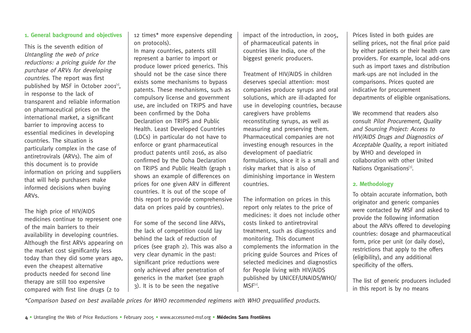#### **1. General background and objectives**

This is the seventh edition of Untangling the web of price reductions: a pricing guide for the purchase of ARVs for developing countries. The report was first published by MSF in October 2001<sup>[1]</sup>. in response to the lack of transparent and reliable information on pharmaceutical prices on the international market, a significant barrier to improving access to essential medicines in developing countries. The situation is particularly complex in the case of antiretrovirals (ARVs). The aim of this document is to provide information on pricing and suppliers that will help purchasers make informed decisions when buying ARVs.

The high price of HIV/AIDS medicines continue to represent one of the main barriers to their availability in developing countries. Although the first ARVs appearing on the market cost significantly less today than they did some years ago, even the cheapest alternative products needed for second line therapy are still too expensive compared with first line drugs (2 to

12 times\* more expensive depending on protocols).

In many countries, patents still represent a barrier to import or produce lower priced generics. This should not be the case since there exists some mechanisms to bypass patents. These mechanisms, such as compulsory license and government use, are included on TRIPS and have been confirmed by the Doha Declaration on TRIPS and Public Health. Least Developed Countries (LDCs) in particular do not have to enforce or grant pharmaceutical product patents until 2016, as also confirmed by the Doha Declaration on TRIPS and Public Health (graph 1 shows an example of differences on prices for one given ARV in different countries. It is out of the scope of this report to provide comprehensive data on prices paid by countries).

For some of the second line ARVs, the lack of competition could lay behind the lack of reduction of prices (see graph 2). This was also a very clear dynamic in the past: significant price reductions were only achieved after penetration of generics in the market (see graph 3). It is to be seen the negative

impact of the introduction, in 2005, of pharmaceutical patents in countries like India, one of the biggest generic producers.

Treatment of HIV/AIDS in children deserves special attention: most companies produce syrups and oral solutions, which are ill-adapted for use in developing countries, because caregivers have problems reconstituting syrups, as well as measuring and preserving them. Pharmaceutical companies are not investing enough resources in the development of paediatric formulations, since it is a small and risky market that is also of diminishing importance in Western countries.

The information on prices in this report only relates to the price of medicines: it does not include other costs linked to antiretroviral treatment, such as diagnostics and monitoring. This document complements the information in the pricing guide Sources and Prices of selected medicines and diagnostics for People living with HIV/AIDS published by UNICEF/UNAIDS/WHO/  $MSF<sup>[2]</sup>$ .

Prices listed in both guides are selling prices, not the final price paid by either patients or their health care providers. For example, local add-ons such as import taxes and distribution mark-ups are not included in the comparisons. Prices quoted are indicative for procurement departments of eligible organisations.

We recommend that readers also consult Pilot Procurement, Quality and Sourcing Project: Access to HIV/AIDS Drugs and Diagnostics of Acceptable Quality, a report initiated by WHO and developed in collaboration with other United Nations Organisations<sup>[3]</sup>.

#### **2. Methodology**

To obtain accurate information, both originator and generic companies were contacted by MSF and asked to provide the following information about the ARVs offered to developing countries: dosage and pharmaceutical form, price per unit (or daily dose), restrictions that apply to the offers (eligibility), and any additional specificity of the offers.

The list of generic producers included in this report is by no means

\*Comparison based on best available prices for WHO recommended regimens with WHO prequalified products.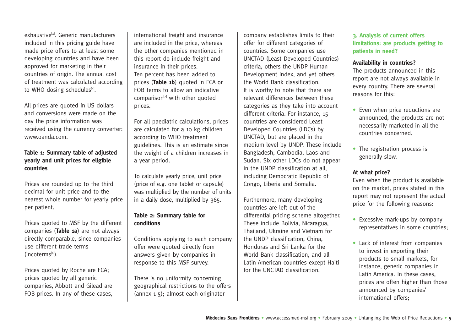exhaustive<sup>[4]</sup>. Generic manufacturers included in this pricing guide have made price offers to at least some developing countries and have been approved for marketing in their countries of origin. The annual cost of treatment was calculated according to WHO dosing schedules<sup>[5]</sup>.

All prices are quoted in US dollars and conversions were made on the day the price information was received using the currency converter: www.oanda.com.

#### **Table 1: Summary table of adjusted yearly and unit prices for eligible countries**

Prices are rounded up to the third decimal for unit price and to the nearest whole number for yearly price per patient.

Prices quoted to MSF by the different companies (**Table 1a**) are not always directly comparable, since companies use different trade terms  $(incoterms<sup>[6]</sup>).$ 

Prices quoted by Roche are FCA; prices quoted by all generic companies, Abbott and Gilead are FOB prices. In any of these cases, international freight and insurance are included in the price, whereas the other companies mentioned in this report do include freight and insurance in their prices. Ten percent has been added to prices (**Table 1b**) quoted in FCA or FOB terms to allow an indicative comparison $[7]$  with other quoted prices.

For all paediatric calculations, prices are calculated for a 10 kg children according to WHO treatment guidelines. This is an estimate since the weight of a children increases in a year period.

To calculate yearly price, unit price (price of e.g. one tablet or capsule) was multiplied by the number of units in a daily dose, multiplied by 365.

#### **Table 2: Summary table for conditions**

Conditions applying to each company offer were quoted directly from answers given by companies in response to this MSF survey.

There is no uniformity concerning geographical restrictions to the offers (annex 1-5); almost each originator

company establishes limits to their offer for different categories of countries. Some companies use UNCTAD (Least Developed Countries) criteria, others the UNDP Human Development index, and yet others the World Bank classification. It is worthy to note that there are relevant differences between these categories as they take into account different criteria. For instance, 15 countries are considered Least Developed Countries (LDCs) by UNCTAD, but are placed in the medium level by UNDP. These include Bangladesh, Cambodia, Laos and Sudan. Six other LDCs do not appear in the UNDP classification at all, including Democratic Republic of Congo, Liberia and Somalia.

Furthermore, many developing countries are left out of the differential pricing scheme altogether. These include Bolivia, Nicaragua, Thailand, Ukraine and Vietnam for the UNDP classification, China, Honduras and Sri Lanka for the World Bank classification, and all Latin American countries except Haiti for the UNCTAD classification.

**3. Analysis of current offers limitations: are products getting to patients in need?**

#### **Availability in countries?**

The products announced in this report are not always available in every country. There are several reasons for this:

- Even when price reductions are announced, the products are not necessarily marketed in all the countries concerned.
- The registration process is generally slow.

#### **At what price?**

Even when the product is available on the market, prices stated in this report may not represent the actual price for the following reasons:

- Excessive mark-ups by company representatives in some countries;
- Lack of interest from companies to invest in exporting their products to small markets, for instance, generic companies in Latin America. In these cases, prices are often higher than those announced by companies' international offers;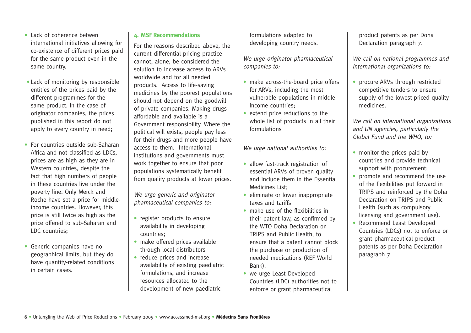- Lack of coherence betwen international initiatives allowing for co-existence of different prices paid for the same product even in the same country.
- Lack of monitoring by responsible entities of the prices paid by the different programmes for the same product. In the case of originator companies, the prices published in this report do not apply to every country in need;
- For countries outside sub-Saharan Africa and not classified as LDCs, prices are as high as they are in Western countries, despite the fact that high numbers of people in these countries live under the poverty line. Only Merck and Roche have set a price for middleincome countries. However, this price is still twice as high as the price offered to sub-Saharan and LDC countries;
- Generic companies have no geographical limits, but they do have quantity-related conditions in certain cases.

#### **4. MSF Recommendations**

For the reasons described above, the current differential pricing practice cannot, alone, be considered the solution to increase access to ARVs worldwide and for all needed products. Access to life-saving medicines by the poorest populations should not depend on the goodwill of private companies. Making drugs affordable and available is a Government responsibility. Where the political will exists, people pay less for their drugs and more people have access to them. International institutions and governments must work together to ensure that poor populations systematically benefit from quality products at lower prices.

We urge generic and originator pharmaceutical companies to:

- register products to ensure availability in developing countries;
- make offered prices available through local distributors
- reduce prices and increase availability of existing paediatric formulations, and increase resources allocated to the development of new paediatric

formulations adapted to developing country needs.

We urge originator pharmaceutical companies to:

- make across-the-board price offers for ARVs, including the most vulnerable populations in middleincome countries;
- extend price reductions to the whole list of products in all their formulations

We urge national authorities to:

- allow fast-track registration of essential ARVs of proven quality and include them in the Essential Medicines List;
- eliminate or lower inappropriate taxes and tariffs
- make use of the flexibilities in their patent law, as confirmed by the WTO Doha Declaration on TRIPS and Public Health, to ensure that a patent cannot block the purchase or production of needed medications (REF World Bank).
- we urge Least Developed Countries (LDC) authorities not to enforce or grant pharmaceutical

product patents as per Doha Declaration paragraph 7.

We call on national programmes and international organizations to:

• procure ARVs through restricted competitive tenders to ensure supply of the lowest-priced quality medicines.

We call on international organizations and UN agencies, particularly the Global Fund and the WHO, to:

- monitor the prices paid by countries and provide technical support with procurement;
- promote and recommend the use of the flexibilities put forward in TRIPS and reinforced by the Doha Declaration on TRIPS and Public Health (such as compulsory licensing and government use).
- Recommend Least Developed Countries (LDCs) not to enforce or grant pharmaceutical product patents as per Doha Declaration paragraph 7.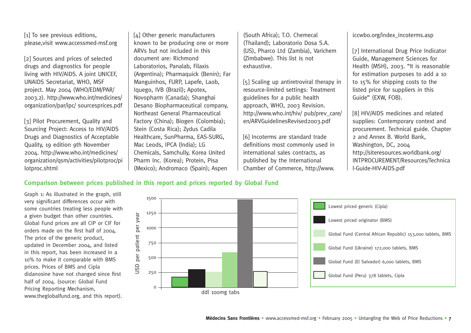[1] To see previous editions, please,visit www.accessmed-msf.org

[2] Sources and prices of selected drugs and diagnostics for people living with HIV/AIDS. A joint UNICEF, UNAIDS Secretariat, WHO, MSF project. May 2004 (WHO/EDM/PAR/ 2003.2). http://www.who.int/medicines/ organization/par/ipc/ sourcesprices.pdf

[3] Pilot Procurement, Quality and Sourcing Project: Access to HIV/AIDS Drugs and Diagnostics of Acceptable Quality, 19 edition 9th November 2004. http://www.who.int/medicines/ organization/qsm/activities/pilotproc/pi lotproc.shtml

[4] Other generic manufacturers known to be producing one or more ARVs but not included in this document are: Richmond Laboratorios, Panalab, Filaxis (Argentina); Pharmaquick (Benin); Far Manguinhos, FURP, Lapefe, Laob, Iquego, IVB (Brazil); Apotex, Novopharm (Canada); Shanghai Desano Biopharmaceutical company, Northeast General Pharmaceutical Factory (China); Biogen (Colombia); Stein (Costa Rica); Zydus Cadila Healthcare, SunPharma, EAS-SURG, Mac Leods, IPCA (India); LG Chemicals, Samchully, Korea United Pharm Inc. (Korea); Protein, Pisa (Mexico); Andromaco (Spain); Aspen

(South Africa); T.O. Chemecal (Thailand); Laboratorio Dosa S.A. (US), Pharco Ltd (Zambia), Varichem (Zimbabwe). This list is not exhaustive.

[5] Scaling up antiretroviral therapy in resource-limited settings: Treatment guidelines for a public health approach, WHO, 2003 Revision. http://www.who.int/hiv/ pub/prev\_care/ en/ARVGuidelinesRevised2003.pdf

[6] Incoterms are standard trade definitions most commonly used in international sales contracts, as published by the International Chamber of Commerce, http://www.

#### iccwbo.org/index\_incoterms.asp

[7] International Drug Price Indicator Guide, Management Sciences for Health (MSH), 2003. "It is reasonable for estimation purposes to add a 10 to 15% for shipping costs to the listed price for suppliers in this Guide" (EXW, FOB).

[8] HIV/AIDS medicines and related supplies: Contemporary context and procurement. Technical guide. Chapter 2 and Annex B. World Bank, Washington, DC, 2004 http://siteresources.worldbank.org/ INTPROCUREMENT/Resources/Technica l-Guide-HIV-AIDS.pdf

#### **Comparison between prices published in this report and prices reported by Global Fund**

Graph 1: As illustrated in the graph, still very significant differences occur with some countries treating less people with a given budget than other countries. Global Fund prices are all CIP or CIF for orders made on the first half of 2004. The price of the generic product, updated in December 2004, and listed in this report, has been increased in a 10% to make it comparable with BMS prices. Prices of BMS and Cipla didanosine have not changed since first half of 2004. (source: Global Fund Pricing Reporting Mechanism, www.theglobalfund.org, and this report).

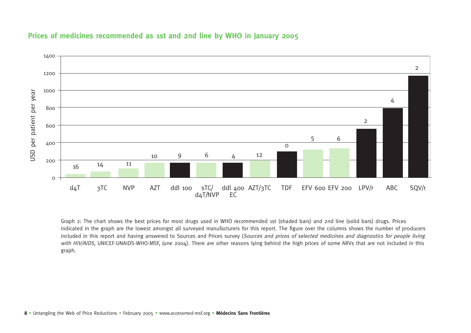

#### **Prices of medicines recommended as 1st and 2nd line by WHO in January 2005**

Graph 2: The chart shows the best prices for most drugs used in WHO recommended 1st (shaded bars) and 2nd line (solid bars) drugs. Prices indicated in the graph are the lowest amongst all surveyed manufacturers for this report. The figure over the columns shows the number of producers included in this report and having answered to Sources and Prices survey (Sources and prices of selected medicines and diagnostics for people living with HIV/AIDS, UNICEF-UNAIDS-WHO-MSF, June 2004). There are other reasons lying behind the high prices of some ARVs that are not included in this graph.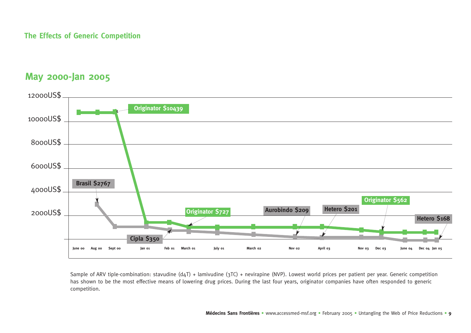#### **The Effects of Generic Competition**

## **May 2000-Jan 2005**



Sample of ARV tiple-combination: stavudine (d4T) + lamivudine (3TC) + nevirapine (NVP). Lowest world prices per patient per year. Generic competition has shown to be the most effective means of lowering drug prices. During the last four years, originator companies have often responded to generic competition.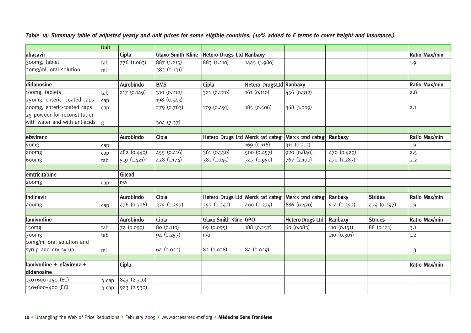|                                    | <b>Unit</b> |              |                          |                                  |                         |                         |                |                |               |
|------------------------------------|-------------|--------------|--------------------------|----------------------------------|-------------------------|-------------------------|----------------|----------------|---------------|
| abacavir                           |             | <b>Cipla</b> | <b>Glaxo Smith Kline</b> | <b>Hetero Drugs Ltd Ranbaxy</b>  |                         |                         |                |                | Ratio Max/min |
| 300mg, tablet                      | tab         | 776 (1.063)  | 887 (1.215)              | 883 (1.210)                      | 1445 (1.980)            |                         |                |                | 1.9           |
| 20mg/ml, oral solution             | ml          |              | 383 (0.131)              |                                  |                         |                         |                |                |               |
|                                    |             |              |                          |                                  |                         |                         |                |                |               |
| didanosine                         |             | Aurobindo    | <b>BMS</b>               | Cipla                            | Hetero DrugsLtd Ranbaxy |                         |                |                | Ratio Max/min |
| 100mg, tablets                     | tab         | 217 (0.149)  | 310 (0.212)              | 321 (0.220)                      | 161 (0.110)             | 456 (0.312)             |                |                | 2.8           |
| 250mg, enteric- coated caps        | cap         |              | 198 (0.543)              |                                  |                         |                         |                |                |               |
| 400mg, enteric-coated caps         | cap         |              | 279 (0.763)              | 179 (0.491)                      | 185 (0.506)             | 368 (1.009)             |                |                | 2.1           |
| 2g powder for reconstitution       |             |              |                          |                                  |                         |                         |                |                |               |
| with water and with antiacids      | g           |              | 304 (7.37)               |                                  |                         |                         |                |                |               |
|                                    |             |              |                          |                                  |                         |                         |                |                |               |
| efavirenz                          |             | Aurobindo    | Cipla                    | Hetero Drugs Ltd Merck 1st categ |                         | Merck 2nd categ         | <b>Ranbaxy</b> |                | Ratio Max/min |
| 50 <sub>mg</sub>                   | cap         |              |                          |                                  | 169 (0.116)             | 311 (0.213)             |                |                | 1.9           |
| 200 <sub>mg</sub>                  | cap         | 482 (0.440)  | 455 (0.416)              | 361 (0.330)                      | 500 (0.457)             | 920 (0.840)             | 470 (0.429)    |                | 2.5           |
| 600mg                              | tab         | 519 (1.421)  | 428 (1.174)              | 381 (1.045)                      | 347 (0.950)             | 767 (2.100)             | 470 (1.287)    |                | 2.2           |
|                                    |             |              |                          |                                  |                         |                         |                |                |               |
| emtricitabine                      |             | Gilead       |                          |                                  |                         |                         |                |                |               |
| 200 <sub>mg</sub>                  | cap         | n/a          |                          |                                  |                         |                         |                |                |               |
|                                    |             |              |                          |                                  |                         |                         |                |                |               |
| indinavir                          |             | Aurobindo    | Cipla                    | Hetero Drugs Ltd Merck 1st categ |                         | Merck 2nd categ         | Ranbaxy        | <b>Strides</b> | Ratio Max/min |
| 400mg                              | cap         | 476 (0.326)  | 375 (0.257)              | 353 (0.242)                      | 400 (0.274)             | 686 (0.470)             | 514 (0.352)    | 434 (0.297)    | 1.9           |
|                                    |             |              |                          |                                  |                         |                         |                |                |               |
| lamivudine                         |             | Aurobindo    | Cipla                    | Glaxo Smith Kline GPO            |                         | <b>Hetero Drugs Ltd</b> | Ranbaxy        | <b>Strides</b> | Ratio Max/min |
| $15$ omg                           | tab         | 72 (0.099)   | 80 (0.110)               | 69 (0.095)                       | 188 (0.257)             | 60 (0.083)              | 110 (0.151)    | 88 (0.121)     | 3.1           |
| 300mg                              | tab         |              | 94 (0.257)               | n/a                              |                         |                         | 110 (0.301)    |                | 1.2           |
| 10mg/ml oral solution and          |             |              |                          |                                  |                         |                         |                |                |               |
| syrup and dry syrup                | ml          |              | 64 (0.022)               | 82 (0.028)                       | 84 (0.029)              |                         |                |                | 1.3           |
|                                    |             |              |                          |                                  |                         |                         |                |                |               |
| $\lambda$ lamivudine + efavirenz + |             | Cipla        |                          |                                  |                         |                         |                |                | Ratio Max/min |
| didanosine                         |             |              |                          |                                  |                         |                         |                |                |               |
| 150+600+250 (EC)                   | 3 cap       | 843 (2.310)  |                          |                                  |                         |                         |                |                |               |
| 150+600+400 (EC)                   | 3 cap       | 923 (2.530)  |                          |                                  |                         |                         |                |                |               |

#### **Table 1a: Summary table of adjusted yearly and unit prices for some eligible countries. (10% added to F terms to cover freight and insurance.)**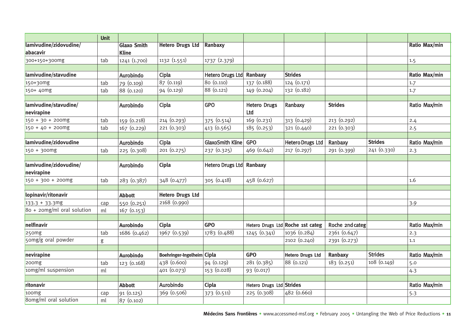|                                     | <b>Unit</b> |                                    |                            |                  |                            |                                  |                 |                |                      |
|-------------------------------------|-------------|------------------------------------|----------------------------|------------------|----------------------------|----------------------------------|-----------------|----------------|----------------------|
| lamivudine/zidovudine/<br>abacavir  |             | <b>Glaxo Smith</b><br><b>Kline</b> | <b>Hetero Drugs Ltd</b>    | Ranbaxy          |                            |                                  |                 |                | <b>Ratio Max/min</b> |
| 300+150+300mg                       | tab         | 1241 (1.700)                       | 1132 (1.551)               | 1737 (2.379)     |                            |                                  |                 |                | 1.5                  |
|                                     |             |                                    |                            |                  |                            |                                  |                 |                |                      |
| lamivudine/stavudine                |             | Aurobindo                          | Cipla                      | Hetero Drugs Ltd | Ranbaxy                    | <b>Strides</b>                   |                 |                | Ratio Max/min        |
| 150+30mg                            | tab         | 79 (0.109)                         | 87 (0.119)                 | 80 (0.110)       | 137 (0.188)                | 124 (0.171)                      |                 |                | 1.7                  |
| 150+ 40mg                           | tab         | 88 (0.120)                         | 94 (0.129)                 | 88 (0.121)       | 149 (0.204)                | 132 (0.182)                      |                 |                | 1.7                  |
|                                     |             |                                    |                            |                  |                            |                                  |                 |                |                      |
| lamivudine/stavudine/<br>nevirapine |             | Aurobindo                          | Cipla                      | <b>GPO</b>       | <b>Hetero Drugs</b><br>Ltd | Ranbaxy                          | <b>Strides</b>  |                | Ratio Max/min        |
| $150 + 30 + 200$ mg                 | tab         | 159 (0.218)                        | 214 (0.293)                | 375 (0.514)      | 169 (0.231)                | 313 (0.429)                      | 213 (0.292)     |                | 2.4                  |
| $150 + 40 + 200$ mg                 | tab         | 167 (0.229)                        | 221 (0.303)                | 413 (0.565)      | 185(0.253)                 | 321 (0.440)                      | 221(0.303)      |                | 2.5                  |
|                                     |             |                                    |                            |                  |                            |                                  |                 |                |                      |
| lamivudine/zidovudine               |             | Aurobindo                          | Cipla                      | GlaxoSmith Kline | <b>GPO</b>                 | <b>Hetero Drugs Ltd</b>          | Ranbaxy         | <b>Strides</b> | Ratio Max/min        |
| $150 + 300$ mg                      | tab         | 225 (0.308)                        | 201 (0.275)                | 237 (0.325)      | 469 (0.642)                | 217 (0.297)                      | 291 (0.399)     | 241 (0.330)    | 2.3                  |
|                                     |             |                                    |                            |                  |                            |                                  |                 |                |                      |
| lamivudine/zidovudine/              |             | Aurobindo                          | Cipla                      | Hetero Drugs Ltd | Ranbaxy                    |                                  |                 |                |                      |
| nevirapine                          |             |                                    |                            |                  |                            |                                  |                 |                |                      |
| $150 + 300 + 200$                   | tab         | 283 (0.387)                        | 348 (0.477)                | 305 (0.418)      | 458 (0.627)                |                                  |                 |                | 1.6                  |
| lopinavir/ritonavir                 |             | <b>Abbott</b>                      | <b>Hetero Drugs Ltd</b>    |                  |                            |                                  |                 |                |                      |
| $133.3 + 33.3$ mg                   | cap         | 550 (0.251)                        | 2168 (0.990)               |                  |                            |                                  |                 |                | 3.9                  |
| $80 + 2$ omg/ml oral solution       | ml          | 167 (0.153)                        |                            |                  |                            |                                  |                 |                |                      |
|                                     |             |                                    |                            |                  |                            |                                  |                 |                |                      |
| nelfinavir                          |             | <b>Aurobindo</b>                   | Cipla                      | <b>GPO</b>       |                            | Hetero Drugs Ltd Roche 1st categ | Roche 2nd categ |                | Ratio Max/min        |
| 250mg                               | tab         | 1686 (0.462)                       | 1967 (0.539)               | 1783 (0.488)     | 1245 (0.341)               | 1036 (0.284)                     | 2361 (0.647)    |                | 2.3                  |
| 50mg/g oral powder                  | g           |                                    |                            |                  |                            | 2102 (0.240)                     | 2391 (0.273)    |                | 1.1                  |
|                                     |             |                                    |                            |                  |                            |                                  |                 |                |                      |
| nevirapine                          |             | <b>Aurobindo</b>                   | Boehringer-Ingelheim Cipla |                  | <b>GPO</b>                 | <b>Hetero Drugs Ltd</b>          | Ranbaxy         | <b>Strides</b> | Ratio Max/min        |
| 200 <sub>mg</sub>                   | tab         | 123 (0.168)                        | 438 (0.600)                | 94 (0.129)       | 281 (0.385)                | 88 (0.121)                       | 183 (0.251)     | 108 (0.149)    | 5.0                  |
| 10mg/ml suspension                  | ml          |                                    | 401 (0.073)                | 153 (0.028)      | 93 (0.017)                 |                                  |                 |                | 4.3                  |
|                                     |             |                                    |                            |                  |                            |                                  |                 |                |                      |
| ritonavir                           |             | <b>Abbott</b>                      | Aurobindo                  | Cipla            | Hetero Drugs Ltd Strides   |                                  |                 |                | Ratio Max/min        |
| 100mg                               | cap         | 91 (0.125)                         | 369 (0.506)                | 373 (0.511)      | 225 (0.308)                | 482 (0.660)                      |                 |                | 5.3                  |
| 8omg/ml oral solution               | ml          | 87 (0.102)                         |                            |                  |                            |                                  |                 |                |                      |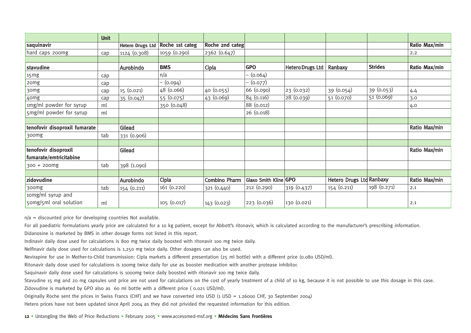|                               | <b>Unit</b> |                         |                 |                      |                       |                         |                          |                |               |
|-------------------------------|-------------|-------------------------|-----------------|----------------------|-----------------------|-------------------------|--------------------------|----------------|---------------|
| saquinavir                    |             | <b>Hetero Drugs Ltd</b> | Roche 1st categ | Roche 2nd categ      |                       |                         |                          |                | Ratio Max/min |
| hard caps 200mg               | cap         | 1124 (0.308)            | 1059 (0.290)    | 2362 (0.647)         |                       |                         |                          |                | 2.2           |
|                               |             |                         |                 |                      |                       |                         |                          |                |               |
| stavudine                     |             | Aurobindo               | <b>BMS</b>      | Cipla                | <b>GPO</b>            | <b>Hetero Drugs Ltd</b> | Ranbaxy                  | <b>Strides</b> | Ratio Max/min |
| 15mg                          | cap         |                         | n/a             |                      | (0.064)               |                         |                          |                |               |
| 20mg                          | cap         |                         | – (0.094)       |                      | (0.077)               |                         |                          |                |               |
| 30mg                          | cap         | 15 (0.021)              | 48 (0.066)      | 40 (0.055)           | 66 (0.090)            | 23(0.032)               | 39 (0.054)               | 39 (0.053)     | 4.4           |
| 40mg                          | cap         | 35 (0.047)              | 55 (0.075)      | 43(0.069)            | 84 (0.116)            | 28(0.039)               | 51 (0.070)               | 51(0.069)      | 3.0           |
| 1mg/ml powder for syrup       | ml          |                         | 350 (0.048)     |                      | 88 (0.012)            |                         |                          |                | 4.0           |
| 5mg/ml powder for syrup       | ml          |                         |                 |                      | 26 (0.018)            |                         |                          |                |               |
|                               |             |                         |                 |                      |                       |                         |                          |                |               |
| tenofovir disoproxil fumarate |             | Gilead                  |                 |                      |                       |                         |                          |                | Ratio Max/min |
| 300mg                         | tab         | 331 (0.906)             |                 |                      |                       |                         |                          |                |               |
|                               |             |                         |                 |                      |                       |                         |                          |                |               |
| tenofovir disoproxil          |             | Gilead                  |                 |                      |                       |                         |                          |                | Ratio Max/min |
| fumarate/emtricitabine        |             |                         |                 |                      |                       |                         |                          |                |               |
| 300 + 200mg                   | tab         | 398 (1.090)             |                 |                      |                       |                         |                          |                |               |
|                               |             |                         |                 |                      |                       |                         |                          |                |               |
| zidovudine                    |             | Aurobindo               | Cipla           | <b>Combino Pharm</b> | Glaxo Smith Kline GPO |                         | Hetero Drugs Ltd Ranbaxy |                | Ratio Max/min |
| 300mg                         | tab         | 154 (0.211)             | 161 (0.220)     | 321 (0.440)          | 212 (0.290)           | 319 (0.437)             | 154 (0.211)              | 198 (0.271)    | 2.1           |
| 10mg/ml syrup and             |             |                         |                 |                      |                       |                         |                          |                |               |
| 50mg/5ml oral solution        | ml          |                         | 105 (0.017)     | 143 (0.023)          | 223 (0.036)           | 130 (0.021)             |                          |                | 2.1           |

 $n/a =$  discounted price for developing countries Not available.

For all paediatric formulations yearly price are calculated for a 10 kg patient, except for Abbott's ritonavir, which is calculated according to the manufacturer's prescribing information.

Didanosine is marketed by BMS in other dosage forms not listed in this report.

Indinavir daily dose used for calculations is 800 mg twice daily boosted with ritonavir 100 mg twice daily.

Nelfinavir daily dose used for calculations is 1,250 mg twice daily. Other dosages can also be used.

Nevirapine for use in Mother-to-Child transmission: Cipla markets a different presentation (25 ml bottle) with a different price (0.080 USD/ml).

Ritonavir daily dose used for calculations is 100mg twice daily for use as booster medication with another protease inhibitor.

Saquinavir daily dose used for calculations is 1000mg twice daily boosted with ritonavir 100 mg twice daily.

Stavudine 15 mg and 20 mg capsules unit price are not used for calculations on the cost of yearly treatment of a child of 10 kg, because it is not possible to use this dosage in this case.

Zidovudine is marketed by GPO also as 60 ml bottle with a different price ( $0.021$  USD/ml).

Originally Roche sent the prices in Swiss Francs (CHF) and we have converted into USD (1 USD = 1.26000 CHF, 30 September 2004)

Hetero prices have not been updated since April 2004 as they did not privided the requested information for this edition.

**12 •** Untangling the Web of Price Reductions **•** February 2005 • www.accessmed-msf.org **• Médecins Sans Frontières**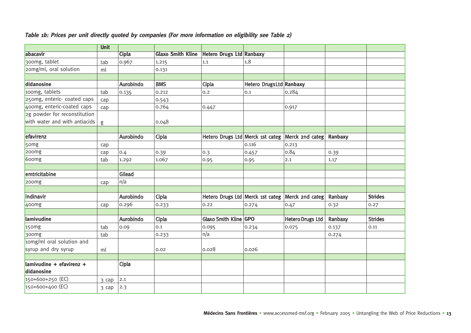|                               | <b>Unit</b> |              |                          |                                 |                         |                                                  |         |                |
|-------------------------------|-------------|--------------|--------------------------|---------------------------------|-------------------------|--------------------------------------------------|---------|----------------|
| abacavir                      |             | <b>Cipla</b> | <b>Glaxo Smith Kline</b> | <b>Hetero Drugs Ltd Ranbaxy</b> |                         |                                                  |         |                |
| 300mg, tablet                 | tab         | 0.967        | 1.215                    | 1.1                             | 1.8                     |                                                  |         |                |
| zomg/ml, oral solution        | ml          |              | 0.131                    |                                 |                         |                                                  |         |                |
|                               |             |              |                          |                                 |                         |                                                  |         |                |
| didanosine                    |             | Aurobindo    | <b>BMS</b>               | Cipla                           | Hetero DrugsLtd Ranbaxy |                                                  |         |                |
| 100mg, tablets                | tab         | 0.135        | 0.212                    | 0.2                             | 0.1                     | 0.284                                            |         |                |
| 250mg, enteric- coated caps   | cap         |              | 0.543                    |                                 |                         |                                                  |         |                |
| 400mg, enteric-coated caps    | cap         |              | 0.764                    | 0.447                           |                         | 0.917                                            |         |                |
| 2g powder for reconstitution  |             |              |                          |                                 |                         |                                                  |         |                |
| with water and with antiacids | g           |              | 0.048                    |                                 |                         |                                                  |         |                |
|                               |             |              |                          |                                 |                         |                                                  |         |                |
| efavirenz                     |             | Aurobindo    | Cipla                    |                                 |                         | Hetero Drugs Ltd Merck 1st categ Merck 2nd categ | Ranbaxy |                |
| 5 <sub>omg</sub>              | cap         |              |                          |                                 | 0.116                   | 0.213                                            |         |                |
| 200 <sub>mg</sub>             | cap         | 0.4          | 0.39                     | $ 0.3\rangle$                   | 0.457                   | 0.84                                             | 0.39    |                |
| 600mg                         | tab         | 1.292        | 1.067                    | 0.95                            | 0.95                    | 2.1                                              | 1.17    |                |
|                               |             |              |                          |                                 |                         |                                                  |         |                |
| emtricitabine                 |             | Gilead       |                          |                                 |                         |                                                  |         |                |
| 200mg                         | cap         | n/a          |                          |                                 |                         |                                                  |         |                |
|                               |             |              |                          |                                 |                         |                                                  |         |                |
| indinavir                     |             | Aurobindo    | Cipla                    |                                 |                         | Hetero Drugs Ltd Merck 1st categ Merck 2nd categ | Ranbaxy | <b>Strides</b> |
| 400mg                         | cap         | 0.296        | 0.233                    | 0.22                            | 0.274                   | 0.47                                             | 0.32    | 0.27           |
|                               |             |              |                          |                                 |                         |                                                  |         |                |
| lamivudine                    |             | Aurobindo    | Cipla                    | Glaxo Smith Kline GPO           |                         | <b>Hetero Drugs Ltd</b>                          | Ranbaxy | <b>Strides</b> |
| 15 <sub>omg</sub>             | tab         | 0.09         | 0.1                      | 0.095                           | 0.234                   | 0.075                                            | 0.137   | 0.11           |
| 300 <sub>mg</sub>             | tab         |              | 0.233                    | n/a                             |                         |                                                  | 0.274   |                |
| 10mg/ml oral solution and     |             |              |                          |                                 |                         |                                                  |         |                |
| syrup and dry syrup           | ml          |              | 0.02                     | 0.028                           | 0.026                   |                                                  |         |                |
|                               |             |              |                          |                                 |                         |                                                  |         |                |
| $l$ lamivudine + efavirenz +  |             | Cipla        |                          |                                 |                         |                                                  |         |                |
| didanosine                    |             |              |                          |                                 |                         |                                                  |         |                |
| 150+600+250 (EC)              | 3 cap       | 2.1          |                          |                                 |                         |                                                  |         |                |
| 150+600+400 (EC)              | 3 cap       | 2.3          |                          |                                 |                         |                                                  |         |                |

#### **Table 1b: Prices per unit directly quoted by companies (For more information on eligibility see Table 2)**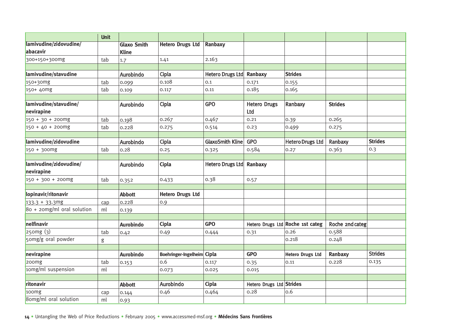|                               | <b>Unit</b> |                    |                            |                          |                          |                                  |                 |                |
|-------------------------------|-------------|--------------------|----------------------------|--------------------------|--------------------------|----------------------------------|-----------------|----------------|
| lamivudine/zidovudine/        |             | <b>Glaxo Smith</b> | <b>Hetero Drugs Ltd</b>    | Ranbaxy                  |                          |                                  |                 |                |
| abacavir                      |             | <b>Kline</b>       |                            |                          |                          |                                  |                 |                |
| 300+150+300mg                 | tab         | 1.7                | 1.41                       | 2.163                    |                          |                                  |                 |                |
|                               |             |                    |                            |                          |                          |                                  |                 |                |
| lamivudine/stavudine          |             | Aurobindo          | Cipla                      | Hetero Drugs Ltd Ranbaxy |                          | <b>Strides</b>                   |                 |                |
| $150+30mg$                    | tab         | 0.099              | 0.108                      | 0.1                      | 0.171                    | 0.155                            |                 |                |
| $150+40mg$                    | tab         | 0.109              | 0.117                      | 0.11                     | 0.185                    | 0.165                            |                 |                |
|                               |             |                    |                            |                          |                          |                                  |                 |                |
| lamivudine/stavudine/         |             | Aurobindo          | Cipla                      | <b>GPO</b>               | <b>Hetero Drugs</b>      | Ranbaxy                          | <b>Strides</b>  |                |
| nevirapine                    |             |                    |                            |                          | Ltd                      |                                  |                 |                |
| $150 + 30 + 200$ mg           | tab         | 0.198              | 0.267                      | 0.467                    | 0.21                     | 0.39                             | 0.265           |                |
| $150 + 40 + 200$ mg           | tab         | 0.228              | 0.275                      | 0.514                    | 0.23                     | 0.499                            | 0.275           |                |
|                               |             |                    |                            |                          |                          |                                  |                 |                |
| lamivudine/zidovudine         |             | Aurobindo          | Cipla                      | <b>GlaxoSmith Kline</b>  | <b>GPO</b>               | <b>Hetero Drugs Ltd</b>          | Ranbaxy         | <b>Strides</b> |
| $150 + 300$ mg                | tab         | 0.28               | 0.25                       | 0.325                    | 0.584                    | 0.27                             | 0.363           | 0.3            |
|                               |             |                    |                            |                          |                          |                                  |                 |                |
| lamivudine/zidovudine/        |             | Aurobindo          | Cipla                      | Hetero Drugs Ltd         | Ranbaxy                  |                                  |                 |                |
| nevirapine                    |             |                    |                            |                          |                          |                                  |                 |                |
| $150 + 300 + 200$ mg          | tab         | 0.352              | 0.433                      | 0.38                     | 0.57                     |                                  |                 |                |
|                               |             |                    |                            |                          |                          |                                  |                 |                |
| lopinavir/ritonavir           |             | <b>Abbott</b>      | <b>Hetero Drugs Ltd</b>    |                          |                          |                                  |                 |                |
| $133.3 + 33.3mg$              | cap         | 0.228              | 0.9                        |                          |                          |                                  |                 |                |
| $80 + 2$ omg/ml oral solution | ml          | 0.139              |                            |                          |                          |                                  |                 |                |
|                               |             |                    |                            |                          |                          |                                  |                 |                |
| nelfinavir                    |             | <b>Aurobindo</b>   | Cipla                      | <b>GPO</b>               |                          | Hetero Drugs Ltd Roche 1st categ | Roche 2nd categ |                |
| 250mg(3)                      | tab         | 0.42               | 0.49                       | 0.444                    | 0.31                     | 0.26                             | 0.588           |                |
| 50mg/g oral powder            | g           |                    |                            |                          |                          | 0.218                            | 0.248           |                |
|                               |             |                    |                            |                          |                          |                                  |                 |                |
| nevirapine                    |             | <b>Aurobindo</b>   | Boehringer-Ingelheim Cipla |                          | <b>GPO</b>               | <b>Hetero Drugs Ltd</b>          | Ranbaxy         | <b>Strides</b> |
| 200mg                         | tab         | 0.153              | 0.6                        | 0.117                    | 0.35                     | 0.11                             | 0.228           | 0.135          |
| 10mg/ml suspension            | ml          |                    | 0.073                      | 0.025                    | 0.015                    |                                  |                 |                |
|                               |             |                    |                            |                          |                          |                                  |                 |                |
| ritonavir                     |             | <b>Abbott</b>      | Aurobindo                  | Cipla                    | Hetero Drugs Ltd Strides |                                  |                 |                |
| 100mg                         | cap         | 0.144              | 0.46                       | 0.464                    | 0.28                     | 0.6                              |                 |                |
| 8omg/ml oral solution         | ml          | 0.93               |                            |                          |                          |                                  |                 |                |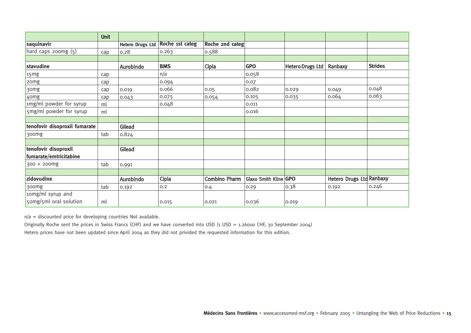|                               | <b>Unit</b> |                         |                 |                      |                       |                         |                                 |                |
|-------------------------------|-------------|-------------------------|-----------------|----------------------|-----------------------|-------------------------|---------------------------------|----------------|
| saquinavir                    |             | <b>Hetero Drugs Ltd</b> | Roche 1st categ | Roche 2nd categ      |                       |                         |                                 |                |
| hard caps 200mg (5)           | cap         | 0.28                    | 0.263           | 0.588                |                       |                         |                                 |                |
|                               |             |                         |                 |                      |                       |                         |                                 |                |
| stavudine                     |             | Aurobindo               | <b>BMS</b>      | Cipla                | <b>GPO</b>            | <b>Hetero Drugs Ltd</b> | Ranbaxy                         | <b>Strides</b> |
| 15mg                          | cap         |                         | n/a             |                      | 0.058                 |                         |                                 |                |
| 20 <sub>mg</sub>              | cap         |                         | 0.094           |                      | 0.07                  |                         |                                 |                |
| 30mg                          | cap         | 0.019                   | 0.066           | 0.05                 | 0.082                 | 0.029                   | 0.049                           | 0.048          |
| 40mg                          | cap         | 0.043                   | 0.075           | 0.054                | 0.105                 | 0.035                   | 0.064                           | 0.063          |
| 1mg/ml powder for syrup       | ml          |                         | 0.048           |                      | 0.011                 |                         |                                 |                |
| 5mg/ml powder for syrup       | ml          |                         |                 |                      | 0.016                 |                         |                                 |                |
|                               |             |                         |                 |                      |                       |                         |                                 |                |
| tenofovir disoproxil fumarate |             | Gilead                  |                 |                      |                       |                         |                                 |                |
| 300mg                         | tab         | 0.824                   |                 |                      |                       |                         |                                 |                |
|                               |             |                         |                 |                      |                       |                         |                                 |                |
| tenofovir disoproxil          |             | Gilead                  |                 |                      |                       |                         |                                 |                |
| fumarate/emtricitabine        |             |                         |                 |                      |                       |                         |                                 |                |
| 300 + 200mg                   | tab         | 0.991                   |                 |                      |                       |                         |                                 |                |
|                               |             |                         |                 |                      |                       |                         |                                 |                |
| zidovudine                    |             | Aurobindo               | Cipla           | <b>Combino Pharm</b> | Glaxo Smith Kline GPO |                         | <b>Hetero Drugs Ltd Ranbaxy</b> |                |
| 300mg                         | tab         | 0.192                   | 0.2             | 0.4                  | 0.29                  | 0.38                    | 0.192                           | 0.246          |
| 10mg/ml syrup and             |             |                         |                 |                      |                       |                         |                                 |                |
| 50mg/5ml oral solution        | ml          |                         | 0.015           | 0.021                | 0.036                 | 0.019                   |                                 |                |

n/a = discounted price for developing countries Not available.

Originally Roche sent the prices in Swiss Francs (CHF) and we have converted into USD (1 USD = 1.26000 CHF, 30 September 2004) Hetero prices have not been updated since April 2004 as they did not privided the requested information for this edition.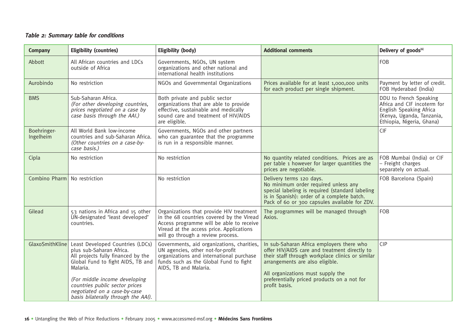#### **Table 2: Summary table for conditions**

| Company                      | <b>Eligibility (countries)</b>                                                                                                                      | <b>Eligibility (body)</b>                                                                                                                                                                                          | <b>Additional comments</b>                                                                                                                                                                                             | Delivery of goods <sup>[6]</sup>                                                                                                           |
|------------------------------|-----------------------------------------------------------------------------------------------------------------------------------------------------|--------------------------------------------------------------------------------------------------------------------------------------------------------------------------------------------------------------------|------------------------------------------------------------------------------------------------------------------------------------------------------------------------------------------------------------------------|--------------------------------------------------------------------------------------------------------------------------------------------|
| Abbott                       | All African countries and LDCs<br>outside of Africa                                                                                                 | Governments, NGOs, UN system<br>organizations and other national and<br>international health institutions                                                                                                          |                                                                                                                                                                                                                        | <b>FOB</b>                                                                                                                                 |
| Aurobindo                    | No restriction                                                                                                                                      | NGOs and Governmental Organizations                                                                                                                                                                                | Prices available for at least 1,000,000 units<br>for each product per single shipment.                                                                                                                                 | Payment by letter of credit.<br>FOB Hyderabad (India)                                                                                      |
| <b>BMS</b>                   | Sub-Saharan Africa.<br>(For other developing countries,<br>prices negotiated on a case by<br>case basis through the AAI.)                           | Both private and public sector<br>organizations that are able to provide<br>effective, sustainable and medically<br>sound care and treatment of HIV/AIDS<br>are eligible.                                          |                                                                                                                                                                                                                        | DDU to French Speaking<br>Africa and CIF incoterm for<br>English Speaking Africa<br>(Kenya, Uganda, Tanzania,<br>Ethiopia, Nigeria, Ghana) |
| Boehringer-<br>Ingelheim     | All World Bank low-income<br>countries and sub-Saharan Africa.<br>(Other countries on a case-by-<br>case basis.)                                    | Governments, NGOs and other partners<br>who can guarantee that the programme<br>is run in a responsible manner.                                                                                                    |                                                                                                                                                                                                                        | <b>CIF</b>                                                                                                                                 |
| Cipla                        | No restriction                                                                                                                                      | No restriction                                                                                                                                                                                                     | No quantity related conditions. Prices are as<br>per table 1 however for larger quantities the<br>prices are negotiable.                                                                                               | FOB Mumbai (India) or CIF<br>- Freight charges<br>separately on actual.                                                                    |
| Combino Pharm No restriction |                                                                                                                                                     | No restriction                                                                                                                                                                                                     | Delivery terms 120 days.<br>No minimum order required unless any<br>special labeling is required (standard labeling<br>is in Spanish): order of a complete batch.<br>Pack of 60 or 300 capsules available for ZDV.     | FOB Barcelona (Spain)                                                                                                                      |
| Gilead                       | 53 nations in Africa and 15 other<br>UN-designated 'least developed'<br>countries.                                                                  | Organizations that provide HIV treatment<br>in the 68 countries covered by the Viread<br>Access programme will be able to receive<br>Viread at the access price. Applications<br>will go through a review process. | The programmes will be managed through<br>Axios.                                                                                                                                                                       | <b>FOB</b>                                                                                                                                 |
| GlaxoSmithKline              | Least Developed Countries (LDCs)<br>plus sub-Saharan Africa.<br>All projects fully financed by the<br>Global Fund to fight AIDS, TB and<br>Malaria. | Governments, aid organizations, charities,<br>UN agencies, other not-for-profit<br>organizations and international purchase<br>funds such as the Global Fund to fight<br>AIDS, TB and Malaria.                     | In sub-Saharan Africa employers there who<br>offer HIV/AIDS care and treatment directly to<br>their staff through workplace clinics or similar<br>arrangements are also eligible.<br>All organizations must supply the | <b>CIP</b>                                                                                                                                 |
|                              | (For middle income developing<br>countries public sector prices<br>negotiated on a case-by-case<br>basis bilaterally through the AAI).              |                                                                                                                                                                                                                    | preferentially priced products on a not for<br>profit basis.                                                                                                                                                           |                                                                                                                                            |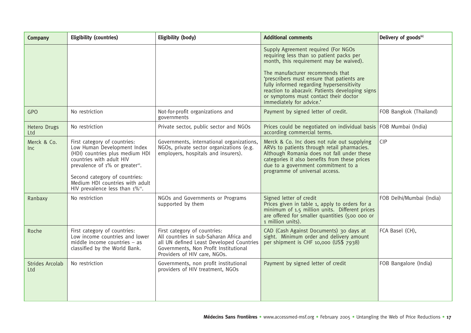| <b>Company</b>                | <b>Eligibility (countries)</b>                                                                                                                                                                                                                                                               | Eligibility (body)                                                                                                                                                                           | <b>Additional comments</b>                                                                                                                                                                                                                                         | Delivery of goods <sup>[6]</sup> |
|-------------------------------|----------------------------------------------------------------------------------------------------------------------------------------------------------------------------------------------------------------------------------------------------------------------------------------------|----------------------------------------------------------------------------------------------------------------------------------------------------------------------------------------------|--------------------------------------------------------------------------------------------------------------------------------------------------------------------------------------------------------------------------------------------------------------------|----------------------------------|
|                               |                                                                                                                                                                                                                                                                                              |                                                                                                                                                                                              | Supply Agreement required (For NGOs<br>requiring less than 10 patient packs per<br>month, this requirement may be waived).<br>The manufacturer recommends that<br>'prescribers must ensure that patients are                                                       |                                  |
|                               |                                                                                                                                                                                                                                                                                              |                                                                                                                                                                                              | fully informed regarding hypersensitivity<br>reaction to abacavir. Patients developing signs<br>or symptoms must contact their doctor<br>immediately for advice.'                                                                                                  |                                  |
| <b>GPO</b>                    | No restriction                                                                                                                                                                                                                                                                               | Not-for-profit organizations and<br>governments                                                                                                                                              | Payment by signed letter of credit.                                                                                                                                                                                                                                | FOB Bangkok (Thailand)           |
| Hetero Drugs<br>Ltd           | No restriction                                                                                                                                                                                                                                                                               | Private sector, public sector and NGOs                                                                                                                                                       | Prices could be negotiated on individual basis FOB Mumbai (India)<br>according commercial terms.                                                                                                                                                                   |                                  |
| Merck & Co.<br>Inc            | First category of countries:<br>Low Human Development Index<br>(HDI) countries plus medium HDI<br>countries with adult HIV<br>prevalence of 1% or greater <sup>10</sup> .<br>Second category of countries:<br>Medium HDI countries with adult<br>HIV prevalence less than 1% <sup>10</sup> . | Governments, international organizations,<br>NGOs, private sector organizations (e.g.<br>employers, hospitals and insurers).                                                                 | Merck & Co. Inc does not rule out supplying<br>ARVs to patients through retail pharmacies.<br>Although Romania does not fall under these<br>categories it also benefits from these prices<br>due to a government commitment to a<br>programme of universal access. | CIP                              |
| Ranbaxy                       | No restriction                                                                                                                                                                                                                                                                               | NGOs and Governments or Programs<br>supported by them                                                                                                                                        | Signed letter of credit<br>Prices given in table 1, apply to orders for a<br>minimum of 1.5 million units. Different prices<br>are offered for smaller quantities (500 000 or<br>1 million units).                                                                 | FOB Delhi/Mumbai (India)         |
| Roche                         | First category of countries:<br>Low income countries and lower<br>middle income countries $-$ as<br>classified by the World Bank.                                                                                                                                                            | First category of countries:<br>All countries in sub-Saharan Africa and<br>all UN defined Least Developed Countries<br>Governments, Non Profit Institutional<br>Providers of HIV care, NGOs. | CAD (Cash Against Documents) 30 days at<br>sight. Minimum order and delivery amount<br>per shipment is CHF 10,000 (US\$ 7938)                                                                                                                                      | FCA Basel (CH),                  |
| <b>Strides Arcolab</b><br>Ltd | No restriction                                                                                                                                                                                                                                                                               | Governments, non profit institutional<br>providers of HIV treatment, NGOs                                                                                                                    | Payment by signed letter of credit                                                                                                                                                                                                                                 | FOB Bangalore (India)            |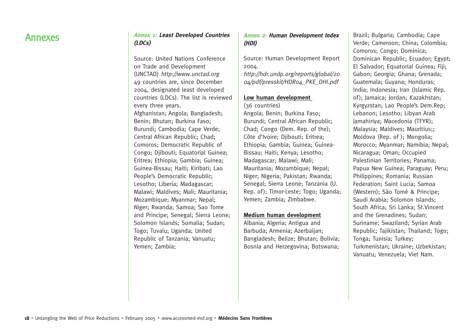## Annexes **Annex 1: Least Developed Countries (LDCs)**

Source: United Nations Conference on Trade and Development (UNCTAD) http://www.unctad.org 49 countries are, since December 2004, designated least developed countries (LDCs). The list is reviewed every three years. Afghanistan; Angola; Bangladesh; Benin; Bhutan; Burkina Faso; Burundi; Cambodia; Cape Verde; Central African Republic; Chad; Comoros; Democratic Republic of Congo; Djibouti; Equatorial Guinea; Eritrea; Ethiopia; Gambia; Guinea; Guinea-Bissau; Haiti; Kiribati; Lao People's Democratic Republic; Lesotho; Liberia; Madagascar; Malawi; Maldives; Mali; Mauritania; Mozambique; Myanmar; Nepal; Niger; Rwanda; Samoa; Sao Tome and Principe; Senegal; Sierra Leone; Solomon Islands; Somalia; Sudan; Togo; Tuvalu; Uganda; United Republic of Tanzania; Vanuatu; Yemen; Zambia;

#### **Annex 2: Human Development Index (HDI)**

Source: Human Development Report 2004. http://hdr.undp.org/reports/global/20

04/pdf/presskit/HDR04\_PKE\_DHI.pdf

#### **Low human development**

(36 countries) Angola; Benin; Burkina Faso; Burundi; Central African Republic; Chad; Congo (Dem. Rep. of the); Côte d'Ivoire; Djibouti; Eritrea; Ethiopia; Gambia; Guinea; Guinea-Bissau; Haiti; Kenya; Lesotho; Madagascar; Malawi; Mali; Mauritania; Mozambique; Nepal; Niger; Nigeria; Pakistan; Rwanda; Senegal; Sierra Leone; Tanzania (U. Rep. of); Timor-Leste; Togo; Uganda; Yemen; Zambia; Zimbabwe.

#### **Medium human development**

Albania; Algeria; Antigua and Barbuda; Armenia; Azerbaijan; Bangladesh; Belize; Bhutan; Bolivia; Bosnia and Herzegovina; Botswana;

Brazil; Bulgaria; Cambodia; Cape Verde; Cameroon; China; Colombia; Comoros; Congo; Dominica; Dominican Republic; Ecuador; Egypt; El Salvador; Equatorial Guinea; Fiji; Gabon; Georgia; Ghana; Grenada; Guatemala; Guyana; Honduras; India; Indonesia; Iran (Islamic Rep. of); Jamaica; Jordan; Kazakhstan; Kyrgyzstan; Lao People's Dem.Rep; Lebanon; Lesotho; Libyan Arab Jamahiriya; Macedonia (TFYR); Malaysia; Maldives; Mauritius;; Moldova (Rep. of ); Mongolia; Morocco; Myanmar; Namibia; Nepal; Nicaragua; Oman; Occupied Palestinian Territories; Panama; Papua New Guinea; Paraguay; Peru; Philippines; Romania; Russian Federation; Saint Lucia; Samoa (Western); São Tomé & Principe; Saudi Arabia; Solomon Islands; South Africa; Sri Lanka; St.Vincent and the Grenadines; Sudan; Suriname; Swaziland; Syrian Arab Republic; Tajikistan; Thailand; Togo; Tonga; Tunisia; Turkey; Turkmenistan; Ukraine; Uzbekistan; Vanuatu; Venezuela; Viet Nam.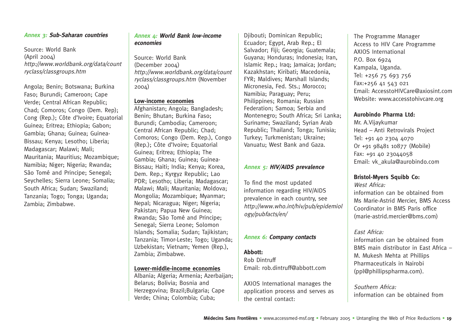#### **Annex 3: Sub-Saharan countries**

Source: World Bank  $(April 2004)$ http://www.worldbank.org/data/count ryclass/classgroups.htm

Angola; Benin; Botswana; Burkina Faso; Burundi; Cameroon; Cape Verde; Central African Republic; Chad; Comoros; Congo (Dem. Rep); Cong (Rep.); Côte d'Ivoire; Equatorial Guinea; Eritrea; Ethiopia; Gabon; Gambia; Ghana; Guinea; Guinea-Bissau; Kenya; Lesotho; Liberia; Madagascar; Malawi; Mali; Mauritania; Mauritius; Mozambique; Namibia; Niger; Nigeria; Rwanda; São Tomé and Principe; Senegal; Seychelles; Sierra Leone; Somalia; South Africa; Sudan; Swaziland; Tanzania; Togo; Tonga; Uganda; Zambia; Zimbabwe.

#### **Annex 4: World Bank low-income economies**

Source: World Bank (December 2004) http://www.worldbank.org/data/count ryclass/classgroups.htm (November 2004)

#### **Low-income economies**

Afghanistan; Angola; Bangladesh; Benin; Bhutan; Burkina Faso; Burundi; Cambodia; Cameroon; Central African Republic; Chad; Comoros; Congo (Dem. Rep.), Congo (Rep.); Côte d'Ivoire; Equatorial Guinea; Eritrea; Ethiopia; The Gambia; Ghana; Guinea; Guinea-Bissau; Haiti; India; Kenya; Korea, Dem. Rep.; Kyrgyz Republic; Lao PDR; Lesotho; Liberia; Madagascar; Malawi; Mali; Mauritania; Moldova; Mongolia; Mozambique; Myanmar; Nepal; Nicaragua; Niger; Nigeria; Pakistan; Papua New Guinea; Rwanda; São Tomé and Principe; Senegal; Sierra Leone; Solomon Islands; Somalia; Sudan; Tajikistan; Tanzania; Timor-Leste; Togo; Uganda; Uzbekistan; Vietnam; Yemen (Rep.), Zambia; Zimbabwe.

#### **Lo wer-middle-income economies**

Albania; Algeria; Armenia; Azerbaijan; Belarus; Bolivia; Bosnia and Herzegovina; Brazil;Bulgaria; Cape Verde; China; Colombia; Cuba;

Djibouti; Dominican Republic; Ecuador; Egypt, Arab Rep.; El Salvador: Fiii: Georgia: Guatemala: Guyana; Honduras; Indonesia; Iran, Islamic Rep.; Iraq; Jamaica; Jordan; Kazakhstan; Kiribati; Macedonia, FYR; Maldives; Marshall Islands; Micronesia, Fed. Sts.; Morocco; Namibia; Paraguay; Peru; Philippines; Romania; Russian Federation; Samoa; Serbia and Montenegro; South Africa; Sri Lanka; Suriname; Swaziland; Syrian Arab Republic; Thailand; Tonga; Tunisia; Turkey; Turkmenistan; Ukraine; Vanuatu; West Bank and Gaza.

#### **Annex 5: HIV/AIDS prevalence**

To find the most updated information regarding HIV/AIDS prevalence in each country, see http://www.who.int/hiv/pub/epidemiol ogy/pubfacts/en/

#### **Annex 6: Company contacts**

#### **Abbott:**

Rob Dintruff Email: rob.dintruff@abbott.com

AXIOS International manages the application process and serves as the central contact:

The Programme Manager Access to HIV Care Programme AXIOS International P.O. Box 6924 Kampala, Uganda. Tel: +256 75 693 756 Fax:+256 41 543 021 Email: AccesstoHIVCare@axiosint.com Website: www.accesstohivcare.org

#### **Aurobindo Pharma Ltd:**

Mr. A.Vijaykumar Head – Anti Retrovirals Project Tel: +91 40 2304 4070 Or +91 98481 10877 (Mobile) Fax: +91 40 23044058 Email: vk\_akula@aurobindo.com

#### **Bristol-Myers Squibb Co:**

West Africa: information can be obtained from Ms Marie-Astrid Mercier, BMS Access Coordinator in BMS Paris office (marie-astrid.mercier@bms.com)

#### East Africa:

information can be obtained from BMS main distributor in East Africa – M. Mukesh Mehta at Phillips Pharmaceuticals in Nairobi (ppl@phillipspharma.com).

Southern Africa: information can be obtained from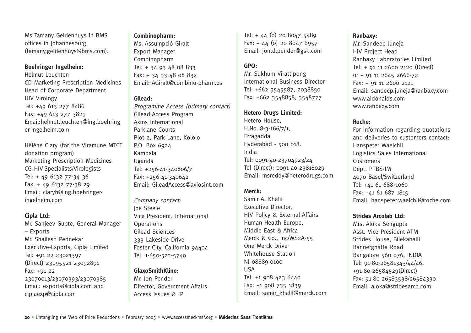Ms Tamany Geldenhuys in BMS offices in Johannesburg (tamany.geldenhuys@bms.com).

#### **Boehringer Ingelheim:**

Helmut Leuchten CD Marketing Prescription Medicines Head of Corporate Department HIV Virology Tel: +49 613 277 8486 Fax: +49 613 277 3829 Email:helmut.leuchten@ing.boehring er-ingelheim.com

Hélène Clary (for the Viramune MTCT donation program) Marketing Prescription Medicines CG HIV-Specialists/Virologists Tel: + 49 6132 77-34 36 Fax: + 49 6132 77-38 29 Email: claryh@ing.boehringeringelheim.com

#### **Cipla Ltd:**

Mr. Sanjeev Gupte, General Manager – Exports Mr. Shailesh Pednekar Executive-Exports, Cipla Limited Tel: +91 22 23021397 (Direct) 23095521 23092891 Fax: +91 22 23070013/23070393/23070385 Email: exports@cipla.com and ciplaexp@cipla.com

#### **Combinopharm:**

Ms. Assumpció Giralt Export Manager Combinopharm Tel: + 34 93 48 08 833 Fax: + 34 93 48 08 832 Email: AGiralt@combino-pharm.es

#### **Gilead:**

Programme Access (primary contact) Gilead Access Program Axios International Parklane Courts Plot 2, Park Lane, Kololo P.O. Box 6924 Kampala Uganda Tel: +256-41-340806/7 Fax: +256-41-340642 Email: GileadAccess@axiosint.com

Company contact: Joe Steele Vice President, International **Operations** Gilead Sciences 333 Lakeside Drive Foster City, California 94404 Tel: 1-650-522-5740

#### **GlaxoSmithKline:**

Mr. Jon Pender Director, Government Affairs Access Issues & IP

Tel: + 44 (0) 20 8047 5489 Fax: + 44 (0) 20 8047 6957 Email: jon.d.pender@gsk.com

#### **GPO:**

Mr. Sukhum Virattipong International Business Director Tel: +662 3545587, 2038850 Fax: +662 3548858, 3548777

#### **Hetero Drugs Limited:**

Hetero House, H.No.:8-3-166/7/1, Erragadda Hyderabad - 500 018. India Tel: 0091-40-23704923/24 Tel (Direct): 0091-40-23818029 Email: msreddy@heterodrugs.com

#### **Merck:**

Samir A. Khalil Executive Director, HIV Policy & External Affairs Human Health Europe, Middle East & Africa Merck & Co., Inc/WS2A-55 One Merck Drive Whitehouse Station NJ 08889-0100 USA Tel: +1 908 423 6440 Fax: +1 908 735 1839 Email: samir\_khalil@merck.com

#### **Ranbaxy:**

Mr. Sandeep Juneja HIV Project Head Ranbaxy Laboratories Limited Tel: + 91 11 2600 2120 (Direct) or + 91 11 2645 2666-72 Fax: + 91 11 2600 2121 Email: sandeep.juneja@ranbaxy.com www.aidonaids.com www.ranbaxy.com

#### **Roche:**

For information regarding quotations and deliveries to customers contact: Hanspeter Waelchli Logistics Sales International **Customers** Dept. PTBS-IM 4070 Basel/Switzerland Tel: +41 61 688 1060 Fax: +41 61 687 1815 Email: hanspeter.waelchli@roche.com

#### **Strides Arcolab Ltd:**

Mrs. Aloka Sengupta Asst. Vice President ATM Strides House, Bilekahalli Bannerghatta Road Bangalore 560 076, INDIA Tel: 91-80-26581343/44/46, +91-80-26584529(Direct) Fax: 91-80-26583538/26584330 Email: aloka@stridesarco.com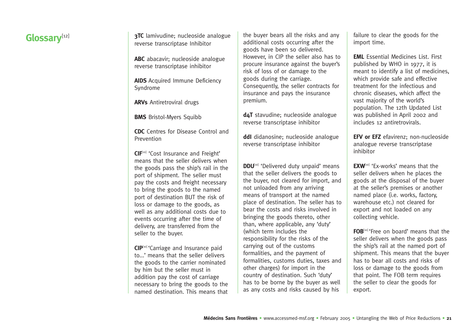reverse transcriptase Inhibitor

**ABC** abacavir; nucleoside analogue reverse transcriptase inhibitor

**AIDS** Acquired Immune Deficiency Syndrome

**ARVs** Antiretroviral drugs

**BMS** Bristol-Myers Squibb

**CDC** Centres for Disease Control and Prevention

**CIF**<sup>[10]</sup> 'Cost Insurance and Freight' means that the seller delivers when the goods pass the ship's rail in the port of shipment. The seller must pay the costs and freight necessary to bring the goods to the named port of destination BUT the risk of loss or damage to the goods, as well as any additional costs due to events occurring after the time of delivery, are transferred from the seller to the buyer.

**CIP**[10] 'Carriage and Insurance paid to...' means that the seller delivers the goods to the carrier nominated by him but the seller must in addition pay the cost of carriage necessary to bring the goods to the named destination. This means that

**Glossary**<sup>[12]</sup> **17C** lamivudine; nucleoside analogue the buyer bears all the risks and any failure to clear the goods for the import time. the buyer bears all the risks and any additional costs occurring after the goods have been so delivered. However, in CIP the seller also has to procure insurance against the buyer's risk of loss of or damage to the goods during the carriage. Consequently, the seller contracts for insurance and pays the insurance premium.

> **d4T** stavudine; nucleoside analogue reverse transcriptase inhibitor

**ddI** didanosine; nucleoside analogue reverse transcriptase inhibitor

**DDU**<sup>[10]</sup> 'Delivered duty unpaid' means that the seller delivers the goods to the buyer, not cleared for import, and not unloaded from any arriving means of transport at the named place of destination. The seller has to bear the costs and risks involved in bringing the goods thereto, other than, where applicable, any 'duty' (which term includes the responsibility for the risks of the carrying out of the customs formalities, and the payment of formalities, customs duties, taxes and other charges) for import in the country of destination. Such 'duty' has to be borne by the buyer as well as any costs and risks caused by his

**EML** Essential Medicines List. First published by WHO in 1977, it is meant to identify a list of medicines, which provide safe and effective treatment for the infectious and chronic diseases, which affect the vast majority of the world's population. The 12th Updated List was published in April 2002 and includes 12 antiretrovirals.

**EFV or EFZ** efavirenz; non-nucleoside analogue reverse transcriptase inhibitor

**EXW**<sup>[10]</sup> 'Ex-works' means that the seller delivers when he places the goods at the disposal of the buyer at the seller's premises or another named place (i.e. works, factory, warehouse etc.) not cleared for export and not loaded on any collecting vehicle.

**FOB**[10] 'Free on board' means that the seller delivers when the goods pass the ship's rail at the named port of shipment. This means that the buyer has to bear all costs and risks of loss or damage to the goods from that point. The FOB term requires the seller to clear the goods for export.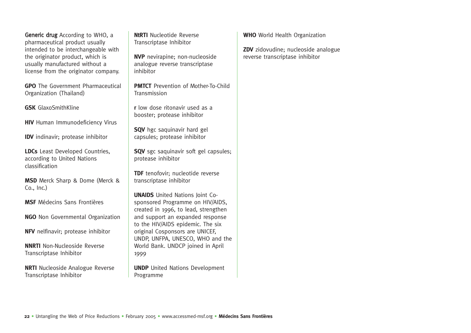Generic drug According to WHO, a pharmaceutical product usually intended to be interchangeable with the originator product, which is usually manufactured without a license from the originator company.

**GPO** The Government Pharmaceutical Organization (Thailand)

**GSK** GlaxoSmithKline

**HIV** Human Immunodeficiency Virus

**IDV** indinavir; protease inhibitor

**LDCs** Least Developed Countries, according to United Nations classification

**MSD** Merck Sharp & Dome (Merck & Co., Inc.)

**MSF** Médecins Sans Frontières

**NGO** Non Governmental Organization

**NFV** nelfinavir; protease inhibitor

**NNRTI** Non-Nucleoside Reverse Transcriptase Inhibitor

**NRTI** Nucleoside Analogue Reverse Transcriptase Inhibitor

**NtRTI** Nucleotide Reverse Transcriptase Inhibitor

**NVP** nevirapine; non-nucleoside analogue reverse transcriptase inhibitor

**PMTCT** Prevention of Mother-To-Child Transmission

**<sup>r</sup>**low dose ritonavir used as a booster; protease inhibitor

**SQV** hgc saquinavir hard gel capsules; protease inhibitor

**SQV** sgc saquinavir soft gel capsules; protease inhibitor

**TDF** tenofovir: nucleotide reverse transcriptase inhibitor

**UNAIDS** United Nations Joint Cosponsored Programme on HIV/AIDS, created in 1996, to lead, strengthen and support an expanded response to the HIV/AIDS epidemic. The six original Cosponsors are UNICEF, UNDP, UNFPA, UNESCO, WHO and the World Bank. UNDCP joined in April 1999

**UNDP** United Nations Development Programme

**WHO** World Health Organization

**ZDV** zidovudine; nucleoside analogue reverse transcriptase inhibitor